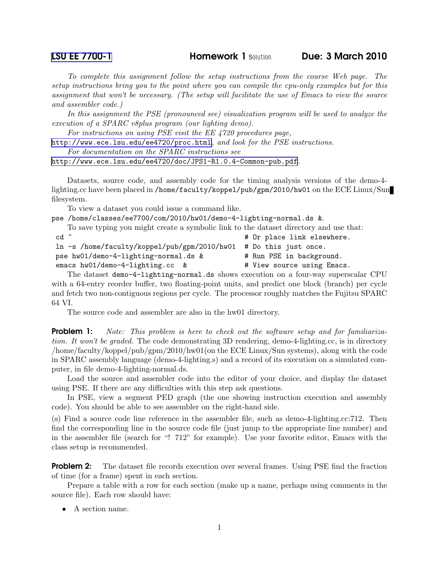**[LSU EE 7700-1](http://www.ece.lsu.edu/gp/) Homework 1 Solution Due: 3 March 2010** 

*To complete this assignment follow the setup instructions from the course Web page. The setup instructions bring you to the point where you can compile the cpu-only examples but for this assignment that won't be necessary. (The setup will facilitate the use of Emacs to view the source and assembler code.)*

*In this assignment the PSE (pronounced see) visualization program will be used to analyze the execution of a SPARC v8plus program (our lighting demo).*

*For instructions on using PSE visit the EE 4720 procedures page,*

<http://www.ece.lsu.edu/ee4720/proc.html>*, and look for the PSE instructions.*

*For documentation on the SPARC instructions see*

<http://www.ece.lsu.edu/ee4720/doc/JPS1-R1.0.4-Common-pub.pdf>*.*

Datasets, source code, and assembly code for the timing analysis versions of the demo-4 lighting.cc have been placed in /home/faculty/koppel/pub/gpm/2010/hw01 on the ECE Linux/Sun filesystem.

To view a dataset you could issue a command like.

pse /home/classes/ee7700/com/2010/hw01/demo-4-lighting-normal.ds &.

To save typing you might create a symbolic link to the dataset directory and use that:

| # Or place link elsewhere.                                        |
|-------------------------------------------------------------------|
| ln -s /home/faculty/koppel/pub/gpm/2010/hw01 # Do this just once. |
| # Run PSE in background.                                          |
| # View source using Emacs.                                        |
|                                                                   |

The dataset demo-4-lighting-normal.ds shows execution on a four-way superscalar CPU with a 64-entry reorder buffer, two floating-point units, and predict one block (branch) per cycle and fetch two non-contiguous regions per cycle. The processor roughly matches the Fujitsu SPARC 64 VI.

The source code and assembler are also in the hw01 directory.

Problem 1: *Note: This problem is here to check out the software setup and for familiarization. It won't be graded.* The code demonstrating 3D rendering, demo-4-lighting.cc, is in directory /home/faculty/koppel/pub/gpm/2010/hw01(on the ECE Linux/Sun systems), along with the code in SPARC assembly language (demo-4-lighting.s) and a record of its execution on a simulated computer, in file demo-4-lighting-normal.ds.

Load the source and assembler code into the editor of your choice, and display the dataset using PSE. If there are any difficulties with this step ask questions.

In PSE, view a segment PED graph (the one showing instruction execution and assembly code). You should be able to see assembler on the right-hand side.

(*a*) Find a source code line reference in the assembler file, such as demo-4-lighting.cc:712. Then find the corresponding line in the source code file (just jump to the appropriate line number) and in the assembler file (search for "! 712" for example). Use your favorite editor, Emacs with the class setup is recommended.

**Problem 2:** The dataset file records execution over several frames. Using PSE find the fraction of time (for a frame) spent in each section.

Prepare a table with a row for each section (make up a name, perhaps using comments in the source file). Each row should have:

• A section name.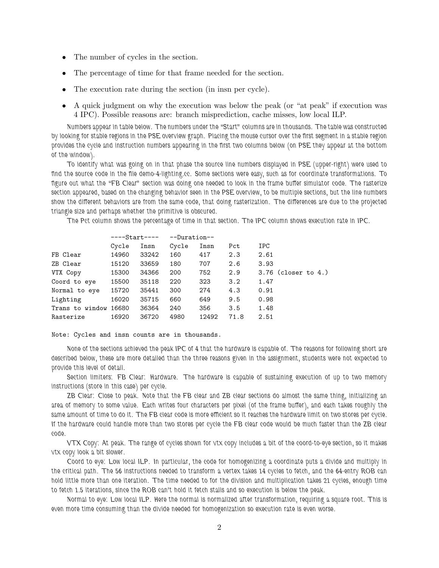- The number of cycles in the section.
- The percentage of time for that frame needed for the section.
- The execution rate during the section (in insn per cycle).
- A quick judgment on why the execution was below the peak (or "at peak" if execution was 4 IPC). Possible reasons are: branch misprediction, cache misses, low local ILP.

*Numbers appear in table below. The numbers under the "Start" columns are in thousands. The table was constructed by looking for stable regions in the PSE overview graph. Placing the mouse cursor over the first segment in a stable region provides the cycle and instruction numbers appearing in the first two columns below (on PSE they appear at the bottom of the window).*

*To identify what was going on in that phase the source line numbers displayed in PSE (upper-right) were used to find the source code in the file demo-4-lighting.cc. Some sections were easy, such as for coordinate transformations. To figure out what the "FB Clear" section was doing one needed to look in the frame buffer simulator code. The rasterize section appeared, based on the changing behavior seen in the PSE overview, to be multiple sections, but the line numbers show the different behaviors are from the same code, that doing rasterization. The differences are due to the projected triangle size and perhaps whether the primitive is obscured.*

*The Pct column shows the percentage of time in that section. The IPC column shows execution rate in IPC.*

|                       | ----Start---- |       | --Duration-- |       |      |                          |
|-----------------------|---------------|-------|--------------|-------|------|--------------------------|
|                       | Cycle         | Insn  | Cycle        | Insn  | Pct  | IPC                      |
| FB Clear              | 14960         | 33242 | 160          | 417   | 2.3  | 2.61                     |
| ZB Clear              | 15120         | 33659 | 180          | 707   | 2.6  | 3.93                     |
| VTX Copy              | 15300         | 34366 | 200          | 752   | 2.9  | $3.76$ (closer to $4.$ ) |
| Coord to eye          | 15500         | 35118 | 220          | 323   | 3.2  | 1.47                     |
| Normal to eye         | 15720         | 35441 | 300          | 274   | 4.3  | 0.91                     |
| Lighting              | 16020         | 35715 | 660          | 649   | 9.5  | 0.98                     |
| Trans to window 16680 |               | 36364 | 240          | 356   | 3.5  | 1.48                     |
| Rasterize             | 16920         | 36720 | 4980         | 12492 | 71.8 | 2.51                     |

## Note: Cycles and insn counts are in thousands.

*None of the sections achieved the peak IPC of 4 that the hardware is capable of. The reasons for following short are described below, these are more detailed than the three reasons given in the assignment, students were not expected to provide this level of detail.*

*Section limiters: FB Clear: Hardware. The hardware is capable of sustaining execution of up to two memory instructions (store in this case) per cycle.*

*ZB Clear: Close to peak. Note that the FB clear and ZB clear sections do almost the same thing, initializing an area of memory to some value. Each writes four characters per pixel (of the frame buffer), and each takes roughly the same amount of time to do it. The FB clear code is more efficient so it reaches the hardware limit on two stores per cycle. If the hardware could handle more than two stores per cycle the FB clear code would be much faster than the ZB clear code.*

*VTX Copy: At peak. The range of cycles shown for vtx copy includes a bit of the coord-to-eye section, so it makes vtx copy look a bit slower.*

*Coord to eye: Low local ILP. In particular, the code for homogenizing a coordinate puts a divide and multiply in the critical path. The 56 instructions needed to transform a vertex takes 14 cycles to fetch, and the 64-entry ROB can hold little more than one iteration. The time needed to for the division and multiplication takes 21 cycles, enough time to fetch 1.5 iterations, since the ROB can't hold it fetch stalls and so execution is below the peak.*

*Normal to eye: Low local ILP. Here the normal is normalized after transformation, requiring a square root. This is even more time consuming than the divide needed for homogenization so execution rate is even worse.*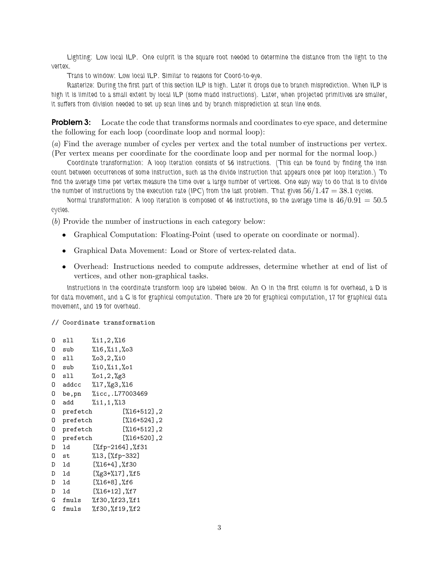*Lighting: Low local ILP. One culprit is the square root needed to determine the distance from the light to the vertex.*

*Trans to window: Low local ILP. Similar to reasons for Coord-to-eye.*

*Rasterize: During the first part of this section ILP is high. Later it drops due to branch misprediction. When ILP is high it is limited to a small extent by local ILP (some madd instructions). Later, when projected primitives are smaller, it suffers from division needed to set up scan lines and by branch misprediction at scan line ends.*

**Problem 3:** Locate the code that transforms normals and coordinates to eye space, and determine the following for each loop (coordinate loop and normal loop):

(*a*) Find the average number of cycles per vertex and the total number of instructions per vertex. (Per vertex means per coordinate for the coordinate loop and per normal for the normal loop.)

*Coordinate transformation: A loop iteration consists of 56 instructions. (This can be found by finding the insn count between occurrences of some instruction, such as the divide instruction that appears once per loop iteration.) To find the average time per vertex measure the time over a large number of vertices. One easy way to do that is to divide the number of instructions by the execution rate (IPC) from the last problem. That gives* 56/1.47 = 38.1 *cycles.*

*Normal transformation: A loop iteration is composed of 46 instructions, so the average time is*  $46/0.91 = 50.5$ *cycles.*

(*b*) Provide the number of instructions in each category below:

- Graphical Computation: Floating-Point (used to operate on coordinate or normal).
- Graphical Data Movement: Load or Store of vertex-related data.
- Overhead: Instructions needed to compute addresses, determine whether at end of list of vertices, and other non-graphical tasks.

*Instructions in the coordinate transform loop are labeled below. An O in the first column is for overhead, a D is for data movement, and a G is for graphical computation. There are 20 for graphical computation, 17 for graphical data movement, and 19 for overhead.*

## // Coordinate transformation

| 0  | sll      | %11,2,%16                              |
|----|----------|----------------------------------------|
| 0  | sub      | %16,%i1,%o3                            |
| 0  | sll      | %03,2,%i0                              |
| 0  | sub      | $%i0,\%i1,\%01$                        |
| 0  | sll      | %01,2,%g3                              |
| 0  | addcc    | %17,%g3,%16                            |
| 0  | be, pn   | %icc,.L77003469                        |
| 0  | add      | %i1,1,%13                              |
| 0  | prefetch | [%16+512],2                            |
| 0  | prefetch | [%16+524],2                            |
| 0  | prefetch | [%16+512],2                            |
| 0  | prefetch | [%16+520],2                            |
| D  | ld       | $[\frac{6}{15} - 2164], \frac{6}{131}$ |
| 0  | st       | %13,[%fp-332]                          |
| D  | ld       | $[\%16+4],\%130$                       |
| D  | ld       | [%g3+%17],%f5                          |
| D  | ld       | .16+8],%f6"                            |
| D. | 1d       | .1%,(16+12);"[                         |
| G  | fmuls    | $%$ f30, $%$ f23, $%$ f1               |
| G  | fmuls    | %f30,%f19,%f2                          |
|    |          |                                        |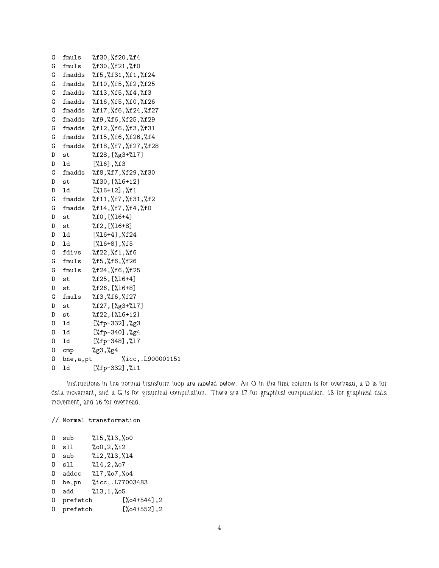| G | fmuls          | %f30,%f20,%f4                  |
|---|----------------|--------------------------------|
| G | fmuls          | %f30,%f21,%f0                  |
| G | fmadds         | %f5,%f31,%f1,%f24              |
| G | fmadds         | %f10,%f5,%f2,%f25              |
| G | fmadds         | %f13,%f5,%f4,%f3               |
| G | fmadds         | %f16,%f5,%f0,%f26              |
| G | fmadds         | %f17,%f6,%f24,%f27             |
| G | fmadds         | %f9,%f6,%f25,%f29              |
| G | fmadds         | %f12,%f6,%f3,%f31              |
| G | fmadds         | %f15,%f6,%f26,%f4              |
| G | fmadds         | %f18,%f7,%f27,%f28             |
| D | st             | %f28, [%g3+%17]                |
| D | ld             | $[\%16], \%f3$                 |
| G | fmadds         | %f8,%f7,%f29,%f30              |
| D | st             | %f30, [%16+12]                 |
| D | ld             | $[\%16+12], \%f1$              |
| G | fmadds         | %f11,%f7,%f31,%f2              |
| G | fmadds         | $%f14$ , $%f7$ , $%f4$ , $%f0$ |
| D | st             | %f0, [%16+4]                   |
| D | st             | %f2, [%16+8]                   |
| D | ld             | $[\%16+4], \%f24$              |
| D | ld             | $[\%16+8]$ , $\%15$            |
| G | fdivs          | %f22,%f1,%f6                   |
| G | fmuls          | %f5,%f6,%f26                   |
| G | fmuls          | %f24,%f6,%f25                  |
| D | st             | %f25, [%16+4]                  |
| D | st             | %f26, [%16+8]                  |
| G | fmuls          | %f3,%f6,%f27                   |
| D | st             | %f27, [%g3+%17]                |
| D | st             | %f22, [%16+12]                 |
| 0 | ld             | [%fp-332], %g3                 |
| 0 | ld             | [%fp-340],%g4                  |
| 0 | ld             | $[\%fp-348], \%17$             |
| 0 | $\texttt{cmp}$ | %g3,%g4                        |
| 0 | bne, a, pt     | %icc,.L900001151               |
| 0 | 1d             | $[\%fp-332], \%i1$             |

*Instructions in the normal transform loop are labeled below. An O in the first column is for overhead, a D is for data movement, and a G is for graphical computation. There are 17 for graphical computation, 13 for graphical data movement, and 16 for overhead.*

## // Normal transformation

| 0 | sub        | $%15,$ $%13,$ $%0$  |  |
|---|------------|---------------------|--|
| 0 | sll        | $%00,2$ , $%12$     |  |
| 0 | sub        | $%12,$ $%13,$ $%14$ |  |
| 0 | sll        | %14,2,%07           |  |
| 0 | addcc      | %17,%07,%04         |  |
| 0 | be, pn     | %icc,.L77003483     |  |
| 0 | add        | %13,1,%05           |  |
| 0 | prefetch   | $[\%$ 04+544], 2    |  |
|   | 0 prefetch | $[\%$ 04+552], 2    |  |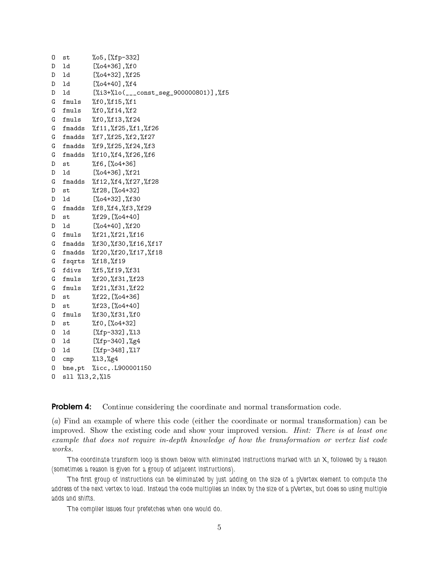| 0 | st            | %05,[%fp-332]                                      |
|---|---------------|----------------------------------------------------|
| D | ld            | $[\%o4+36]$ , $\%f0$                               |
| D | ld            | $[\%o4+32], \%f25$                                 |
| D | ld            | $[\%$ 04+40], $\%$ f4                              |
| D | ld            | [%i3+%lo(___const_seg_900000801)],%f5              |
| G | fmuls         | %f0,%f15,%f1                                       |
| G | fmuls         | %f0,%f14,%f2                                       |
| G | fmuls         | %f0,%f13,%f24                                      |
| G | fmadds        | %f11,%f25,%f1,%f26                                 |
| G | fmadds        | %f7,%f25,%f2,%f27                                  |
| G | fmadds        | %f9,%f25,%f24,%f3                                  |
| G | fmadds        | %f10,%f4,%f26,%f6                                  |
| D | st            | %f6,[%o4+36]                                       |
| D | ld            | $[\%$ 04+36], $\%$ f21                             |
| G | fmadds        | $\frac{152.24}{12.244}$ . 4.127, $\frac{128}{128}$ |
| D | st            | %f28, [%o4+32]                                     |
| D | ld            | $[\%$ 04+32], $\%$ f30                             |
| G | fmadds        | %f8,%f4,%f3,%f29                                   |
| D | st            | %f29, [%o4+40]                                     |
| D | ld            | $[\%o4+40], \%f20$                                 |
| G | fmuls         | %f21,%f21,%f16                                     |
| G | fmadds        | %f30,%f30,%f16,%f17                                |
| G | fmadds        | %f20,%f20,%f17,%f18                                |
| G | fsqrts        | %f18,%f19                                          |
| G | fdivs         | %f5,%f19,%f31                                      |
| G | fmuls         | %f20,%f31,%f23                                     |
| G | fmuls         | %f21,%f31,%f22                                     |
| D | st            | %f22, [%o4+36]                                     |
| D | st            | %f23, [%o4+40]                                     |
| G | fmuls         | %f30,%f31,%f0                                      |
| D | st            | %f0, [%o4+32]                                      |
| 0 | ld            | $[\%fp-332], \%13$                                 |
| 0 | ld            | [%fp-340], %g4                                     |
| 0 | ld            | $[\frac{6}{12} - 348], \frac{17}{17}$              |
| 0 | cmp           | %13,%g4                                            |
| 0 |               | bne, pt %icc, . L900001150                         |
| 0 | sll %13,2,%15 |                                                    |

Problem 4: Continue considering the coordinate and normal transformation code.

(*a*) Find an example of where this code (either the coordinate or normal transformation) can be improved. Show the existing code and show your improved version. *Hint: There is at least one example that does not require in-depth knowledge of how the transformation or vertex list code works.*

*The coordinate transform loop is shown below with eliminated instructions marked with an X, followed by a reason (sometimes a reason is given for a group of adjacent instructions).*

*The first group of instructions can be eliminated by just adding on the size of a pVertex element to compute the address of the next vertex to load. Instead the code multiplies an index by the size of a pVertex, but does so using multiple adds and shifts.*

*The compiler issues four prefetches when one would do.*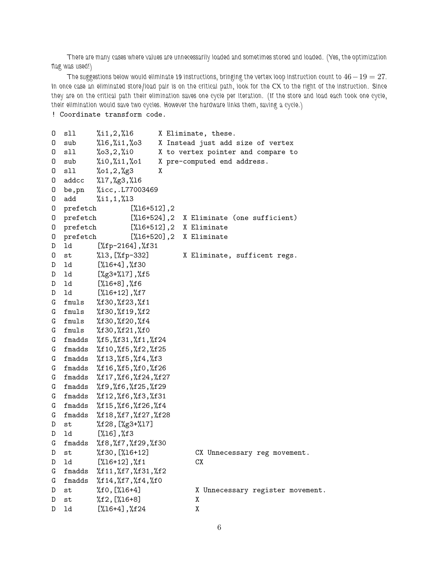*There are many cases where values are unnecessarily loaded and sometimes stored and loaded. (Yes, the optimization flag was used!)*

*The suggestions below would eliminate 19 instructions, bringing the vertex loop instruction count to* 46−19 = 27*. In once case an eliminated store/load pair is on the critical path, look for the CX to the right of the instruction. Since they are on the critical path their elimination saves one cycle per iteration. (If the store and load each took one cycle, their elimination would save two cycles. However the hardware links them, saving a cycle.)*

```
! Coordinate transform code.
```

```
O sll %i1,2,%l6 X Eliminate, these.
O sub %l6,%i1,%o3 X Instead just add size of vertex
O sll %o3,2,%i0 X to vertex pointer and compare to
O sub %i0,%i1,%o1 X pre-computed end address.
O sll %o1,2,%g3 X
O addcc %l7,%g3,%l6
O be,pn %icc,.L77003469
O add %i1,1,%l3
O prefetch [%l6+512],2
O prefetch [%l6+524],2 X Eliminate (one sufficient)
O prefetch [%l6+512],2 X Eliminate
O prefetch [%l6+520],2 X Eliminate
D ld [%fp-2164],%f31
O st %l3,[%fp-332] X Eliminate, sufficent regs.
D ld [%l6+4],%f30
D ld [%g3+%l7],%f5
D ld [%l6+8],%f6
D ld [%l6+12],%f7
G fmuls %f30,%f23,%f1
G fmuls %f30,%f19,%f2
G fmuls %f30,%f20,%f4
G fmuls %f30,%f21,%f0
G fmadds %f5,%f31,%f1,%f24
G fmadds %f10,%f5,%f2,%f25
G fmadds %f13,%f5,%f4,%f3
G fmadds %f16,%f5,%f0,%f26
G fmadds %f17,%f6,%f24,%f27
G fmadds %f9,%f6,%f25,%f29
G fmadds %f12,%f6,%f3,%f31
G fmadds %f15,%f6,%f26,%f4
G fmadds %f18,%f7,%f27,%f28
D st %f28,[%g3+%l7]
D ld [%l6],%f3
G fmadds %f8,%f7,%f29,%f30
D st %f30,[%l6+12] CX Unnecessary reg movement.
D ld [%l6+12],%f1 CX
G fmadds %f11,%f7,%f31,%f2
G fmadds %f14,%f7,%f4,%f0
D st %10, [%16+4] X Unnecessary register movement.
D st \frac{\%f2,\frac{\%16+8}{8}}{x}D ld [%l6+4],%f24 X
```